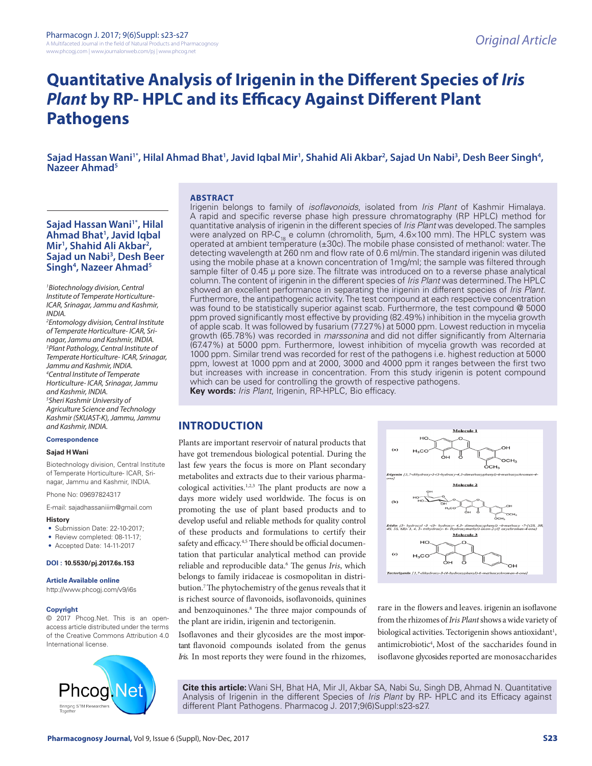# **Quantitative Analysis of Irigenin in the Different Species of** *Iris Plant* **by RP- HPLC and its Efficacy Against Different Plant Pathogens**

Sajad Hassan Wani'\*, Hilal Ahmad Bhat<sup>1</sup>, Javid Iqbal Mir<sup>1</sup>, Shahid Ali Akbar<sup>2</sup>, Sajad Un Nabi<sup>3</sup>, Desh Beer Singh<sup>4</sup>,<br>Nazeer Ahmad<sup>5</sup>

#### **ABSTRACT**

## **Sajad Hassan Wani<sup>1</sup><sup>\*</sup>, Hilal Ahmad Bhat1 , Javid Iqbal Mir1 , Shahid Ali Akbar2 , Sajad un Nabi3 , Desh Beer**  Singh<sup>4</sup>, Nazeer Ahmad<sup>5</sup>

*1 Biotechnology division, Central Institute of Temperate Horticulture-ICAR, Srinagar, Jammu and Kashmir, INDIA.*

*2 Entomology division, Central Institute of Temperate Horticulture- ICAR, Srinagar, Jammu and Kashmir, INDIA. 3 Plant Pathology, Central Institute of Temperate Horticulture- ICAR, Srinagar, Jammu and Kashmir, INDIA. 4 Central Institute of Temperate Horticulture- ICAR, Srinagar, Jammu and Kashmir, INDIA. 5 Sheri Kashmir University of Agriculture Science and Technology Kashmir (SKUAST-K), Jammu, Jammu and Kashmir, INDIA.*

#### **Correspondence**

#### **Sajad H Wani**

Biotechnology division, Central Institute of Temperate Horticulture- ICAR, Srinagar, Jammu and Kashmir, INDIA.

Phone No: 09697824317

E-mail: sajadhassaniiim@gmail.com

#### **History**

- Submission Date: 22-10-2017;
- Review completed: 08-11-17:
- Accepted Date: 14-11-2017

#### **DOI : 10.5530/pj.2017.6s.153**

#### **Article Available online**

http://www.phcogj.com/v9/i6s

#### **Copyright**

© 2017 Phcog.Net. This is an openaccess article distributed under the terms of the Creative Commons Attribution 4.0 International license.



Irigenin belongs to family of *isoflavonoids*, isolated from *Iris Plant* of Kashmir Himalaya. A rapid and specific reverse phase high pressure chromatography (RP HPLC) method for quantitative analysis of irigenin in the different species of *Iris Plant* was developed. The samples were analyzed on RP-C<sub>18</sub> e column (chromolith, 5µm, 4.6×100 mm). The HPLC system was operated at ambient temperature (±30c). The mobile phase consisted of methanol: water. The detecting wavelength at 260 nm and flow rate of 0.6 ml/min. The standard irigenin was diluted using the mobile phase at a known concentration of 1mg/ml; the sample was filtered through sample filter of 0.45 µ pore size. The filtrate was introduced on to a reverse phase analytical column. The content of irigenin in the different species of *Iris Plant* was determined. The HPLC showed an excellent performance in separating the irigenin in different species of *Iris Plant*. Furthermore, the antipathogenic activity. The test compound at each respective concentration was found to be statistically superior against scab. Furthermore, the test compound @ 5000 ppm proved significantly most effective by providing (82.49%) inhibition in the mycelia growth of apple scab. It was followed by fusarium (77.27%) at 5000 ppm. Lowest reduction in mycelia growth (65.78%) was recorded in *marssonina* and did not differ significantly from Alternaria (67.47%) at 5000 ppm. Furthermore, lowest inhibition of mycelia growth was recorded at 1000 ppm. Similar trend was recorded for rest of the pathogens i.e. highest reduction at 5000 ppm, lowest at 1000 ppm and at 2000, 3000 and 4000 ppm it ranges between the first two but increases with increase in concentration. From this study irigenin is potent compound which can be used for controlling the growth of respective pathogens. **Key words:** *Iris Plant*, Irigenin, RP-HPLC, Bio efficacy.

## **INTRODUCTION**

Plants are important reservoir of natural products that have got tremendous biological potential. During the last few years the focus is more on Plant secondary metabolites and extracts due to their various pharmacological activities.1,2,3 The plant products are now a days more widely used worldwide. The focus is on promoting the use of plant based products and to develop useful and reliable methods for quality control of these products and formulations to certify their safety and efficacy.<sup>4,5</sup> There should be official documentation that particular analytical method can provide reliable and reproducible data.<sup>6</sup> The genus Iris, which belongs to family iridaceae is cosmopolitan in distribution.7 The phytochemistry of the genus reveals that it is richest source of flavonoids, isoflavonoids, quinines and benzoquinones.8 The three major compounds of the plant are iridin, irigenin and tectorigenin.

Isoflavones and their glycosides are the most important flavonoid compounds isolated from the genus *Iris.* In most reports they were found in the rhizomes,



rare in the flowers and leaves. irigenin an isoflavone from the rhizomes of *Iris Plant* shows a wide variety of biological activities. Tectorigenin shows antioxidant<sup>1</sup>, antimicrobiotic4 , Most of the saccharides found in isoflavone glycosides reported are monosaccharides

**Cite this article:** Wani SH, Bhat HA, Mir JI, Akbar SA, Nabi Su, Singh DB, Ahmad N. Quantitative Analysis of Irigenin in the different Species of *Iris Plant* by RP- HPLC and its Efficacy against different Plant Pathogens. Pharmacog J. 2017;9(6)Suppl:s23-s27.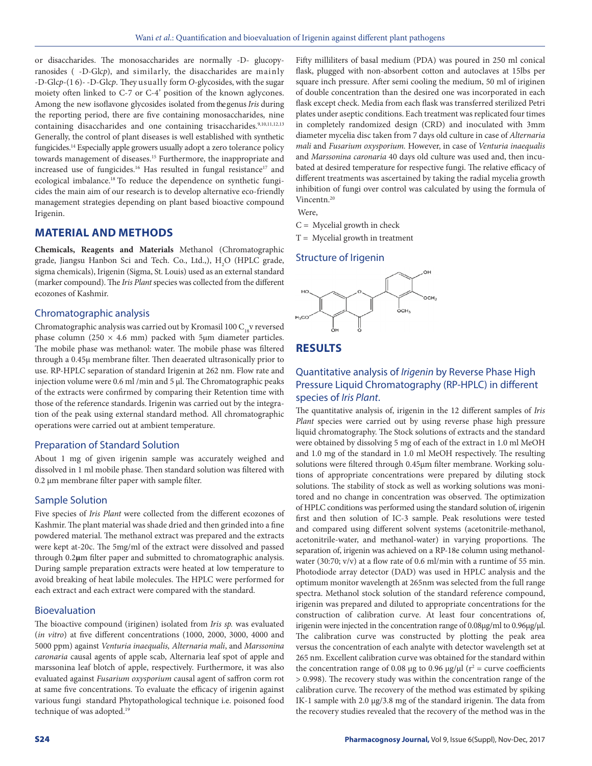or disaccharides. The monosaccharides are normally -D- glucopyranosides ( -D-Glc*p*), and similarly, the disaccharides are mainly -D-Glc*p*-(1 6)- -D-Glc*p*. They usually form *O*-glycosides, with the sugar moiety often linked to C-7 or C-4' position of the known aglycones. Among the new isoflavone glycosides isolated from thegenus *Iris* during the reporting period, there are five containing monosaccharides, nine containing disaccharides and one containing trisaccharides.<sup>9,10,11,12,13</sup> Generally, the control of plant diseases is well established with synthetic fungicides.<sup>14</sup> Especially apple growers usually adopt a zero tolerance policy towards management of diseases.<sup>15</sup> Furthermore, the inappropriate and increased use of fungicides.<sup>16</sup> Has resulted in fungal resistance<sup>17</sup> and ecological imbalance.18 To reduce the dependence on synthetic fungicides the main aim of our research is to develop alternative eco-friendly management strategies depending on plant based bioactive compound Irigenin.

## **MATERIAL AND METHODS**

**Chemicals, Reagents and Materials** Methanol (Chromatographic grade, Jiangsu Hanbon Sci and Tech. Co., Ltd.,),  $H_2O$  (HPLC grade, sigma chemicals), Irigenin (Sigma, St. Louis) used as an external standard (marker compound). The *Iris Plant* species was collected from the different ecozones of Kashmir.

## Chromatographic analysis

Chromatographic analysis was carried out by Kromasil 100  $C_{18}$  reversed phase column (250  $\times$  4.6 mm) packed with 5μm diameter particles. The mobile phase was methanol: water. The mobile phase was filtered through a 0.45μ membrane filter. Then deaerated ultrasonically prior to use. RP-HPLC separation of standard Irigenin at 262 nm. Flow rate and injection volume were 0.6 ml /min and 5 μl. The Chromatographic peaks of the extracts were confirmed by comparing their Retention time with those of the reference standards. Irigenin was carried out by the integration of the peak using external standard method. All chromatographic operations were carried out at ambient temperature.

#### Preparation of Standard Solution

About 1 mg of given irigenin sample was accurately weighed and dissolved in 1 ml mobile phase. Then standard solution was filtered with 0.2 μm membrane filter paper with sample filter.

## Sample Solution

Five species of *Iris Plant* were collected from the different ecozones of Kashmir. The plant material was shade dried and then grinded into a fine powdered material. The methanol extract was prepared and the extracts were kept at-20c. The 5mg/ml of the extract were dissolved and passed through 0.2**µ**m filter paper and submitted to chromatographic analysis. During sample preparation extracts were heated at low temperature to avoid breaking of heat labile molecules. The HPLC were performed for each extract and each extract were compared with the standard.

## Bioevaluation

The bioactive compound (iriginen) isolated from *Iris sp.* was evaluated (*in vitro*) at five different concentrations (1000, 2000, 3000, 4000 and 5000 ppm) against *Venturia inaequalis, Alternaria mali*, and *Marssonina caronaria* causal agents of apple scab, Alternaria leaf spot of apple and marssonina leaf blotch of apple, respectively. Furthermore, it was also evaluated against *Fusarium oxysporium* causal agent of saffron corm rot at same five concentrations. To evaluate the efficacy of irigenin against various fungi standard Phytopathological technique i.e. poisoned food technique of was adopted.<sup>19</sup>

Fifty milliliters of basal medium (PDA) was poured in 250 ml conical flask, plugged with non-absorbent cotton and autoclaves at 15lbs per square inch pressure. After semi cooling the medium, 50 ml of iriginen of double concentration than the desired one was incorporated in each flask except check. Media from each flask was transferred sterilized Petri plates under aseptic conditions. Each treatment was replicated four times in completely randomized design (CRD) and inoculated with 3mm diameter mycelia disc taken from 7 days old culture in case of *Alternaria mali* and *Fusarium oxysporium.* However, in case of *Venturia inaequalis* and *Marssonina caronaria* 40 days old culture was used and, then incubated at desired temperature for respective fungi. The relative efficacy of different treatments was ascertained by taking the radial mycelia growth inhibition of fungi over control was calculated by using the formula of Vincentn.20

Were,

 $C = Mycelial growth in check$ 

 $T = Mycelial growth in treatment$ 

#### Structure of Irigenin



## **RESULTS**

## Quantitative analysis of *Irigenin* by Reverse Phase High Pressure Liquid Chromatography (RP-HPLC) in different species of *Iris Plant*.

The quantitative analysis of, irigenin in the 12 different samples of *Iris Plant* species were carried out by using reverse phase high pressure liquid chromatography. The Stock solutions of extracts and the standard were obtained by dissolving 5 mg of each of the extract in 1.0 ml MeOH and 1.0 mg of the standard in 1.0 ml MeOH respectively. The resulting solutions were filtered through 0.45μm filter membrane. Working solutions of appropriate concentrations were prepared by diluting stock solutions. The stability of stock as well as working solutions was monitored and no change in concentration was observed. The optimization of HPLC conditions was performed using the standard solution of, irigenin first and then solution of IC-3 sample. Peak resolutions were tested and compared using different solvent systems (acetonitrile-methanol, acetonitrile-water, and methanol-water) in varying proportions. The separation of, irigenin was achieved on a RP-18e column using methanolwater (30:70; v/v) at a flow rate of 0.6 ml/min with a runtime of 55 min. Photodiode array detector (DAD) was used in HPLC analysis and the optimum monitor wavelength at 265nm was selected from the full range spectra. Methanol stock solution of the standard reference compound, irigenin was prepared and diluted to appropriate concentrations for the construction of calibration curve. At least four concentrations of, irigenin were injected in the concentration range of 0.08μg/ml to 0.96μg/μl. The calibration curve was constructed by plotting the peak area versus the concentration of each analyte with detector wavelength set at 265 nm. Excellent calibration curve was obtained for the standard within the concentration range of 0.08  $\mu$ g to 0.96  $\mu$ g/ $\mu$ l (r<sup>2</sup> = curve coefficients > 0.998). The recovery study was within the concentration range of the calibration curve. The recovery of the method was estimated by spiking IK-1 sample with 2.0 μg/3.8 mg of the standard irigenin. The data from the recovery studies revealed that the recovery of the method was in the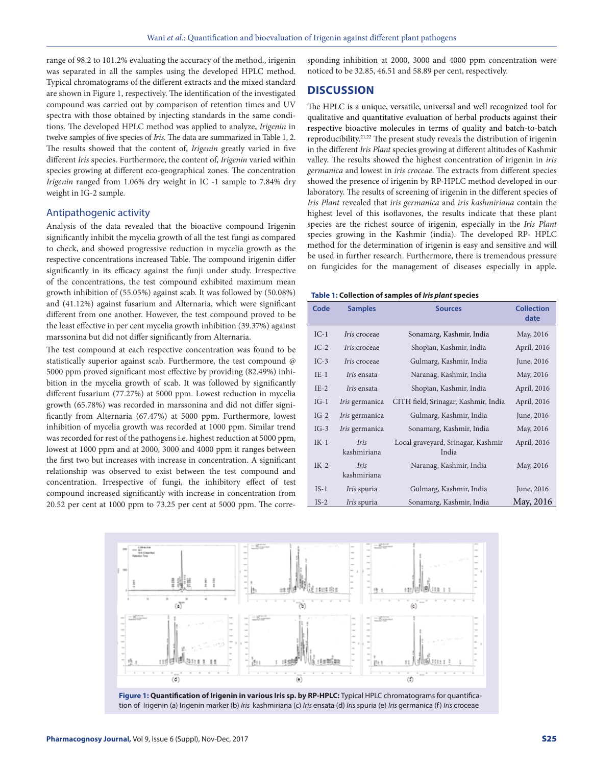range of 98.2 to 101.2% evaluating the accuracy of the method., irigenin was separated in all the samples using the developed HPLC method. Typical chromatograms of the different extracts and the mixed standard are shown in Figure 1, respectively. The identification of the investigated compound was carried out by comparison of retention times and UV spectra with those obtained by injecting standards in the same conditions. The developed HPLC method was applied to analyze, *Irigenin* in twelve samples of five species of *Iris*. The data are summarized in Table 1, 2. The results showed that the content of, *Irigenin* greatly varied in five different *Iris* species. Furthermore, the content of, *Irigenin* varied within species growing at different eco-geographical zones. The concentration *Irigenin* ranged from 1.06% dry weight in IC -1 sample to 7.84% dry weight in IG-2 sample.

## Antipathogenic activity

Analysis of the data revealed that the bioactive compound Irigenin significantly inhibit the mycelia growth of all the test fungi as compared to check, and showed progressive reduction in mycelia growth as the respective concentrations increased Table. The compound irigenin differ significantly in its efficacy against the funji under study. Irrespective of the concentrations, the test compound exhibited maximum mean growth inhibition of (55.05%) against scab. It was followed by (50.08%) and (41.12%) against fusarium and Alternaria, which were significant different from one another. However, the test compound proved to be the least effective in per cent mycelia growth inhibition (39.37%) against marssonina but did not differ significantly from Alternaria.

The test compound at each respective concentration was found to be statistically superior against scab. Furthermore, the test compound @ 5000 ppm proved significant most effective by providing (82.49%) inhibition in the mycelia growth of scab. It was followed by significantly different fusarium (77.27%) at 5000 ppm. Lowest reduction in mycelia growth (65.78%) was recorded in marssonina and did not differ significantly from Alternaria (67.47%) at 5000 ppm. Furthermore, lowest inhibition of mycelia growth was recorded at 1000 ppm. Similar trend was recorded for rest of the pathogens i.e. highest reduction at 5000 ppm, lowest at 1000 ppm and at 2000, 3000 and 4000 ppm it ranges between the first two but increases with increase in concentration. A significant relationship was observed to exist between the test compound and concentration. Irrespective of fungi, the inhibitory effect of test compound increased significantly with increase in concentration from 20.52 per cent at 1000 ppm to 73.25 per cent at 5000 ppm. The corresponding inhibition at 2000, 3000 and 4000 ppm concentration were noticed to be 32.85, 46.51 and 58.89 per cent, respectively.

## **DISCUSSION**

The HPLC is a unique, versatile, universal and well recognized tool for qualitative and quantitative evaluation of herbal products against their respective bioactive molecules in terms of quality and batch-to-batch reproducibility.21,22 The present study reveals the distribution of irigenin in the different *Iris Plant* species growing at different altitudes of Kashmir valley. The results showed the highest concentration of irigenin in *iris germanica* and lowest in *iris croceae*. The extracts from different species showed the presence of irigenin by RP-HPLC method developed in our laboratory. The results of screening of irigenin in the different species of *Iris Plant* revealed that *iris germanica* and *iris kashmiriana* contain the highest level of this isoflavones, the results indicate that these plant species are the richest source of irigenin, especially in the *Iris Plant* species growing in the Kashmir (india). The developed RP- HPLC method for the determination of irigenin is easy and sensitive and will be used in further research. Furthermore, there is tremendous pressure on fungicides for the management of diseases especially in apple.

#### **Table 1: Collection of samples of** *Iris plant* **species**

| Code   | <b>Samples</b>             | <b>Sources</b>                              | <b>Collection</b><br>date |
|--------|----------------------------|---------------------------------------------|---------------------------|
| $IC-1$ | <i>Iris</i> croceae        | Sonamarg, Kashmir, India                    | May, 2016                 |
| $IC-2$ | <i>Iris</i> croceae        | Shopian, Kashmir, India                     | April, 2016               |
| $IC-3$ | <i>Iris</i> croceae        | Gulmarg, Kashmir, India                     | June, 2016                |
| $IE-1$ | <i>Iris</i> ensata         | Naranag, Kashmir, India                     | May, 2016                 |
| $IE-2$ | <i>Iris</i> ensata         | Shopian, Kashmir, India                     | April, 2016               |
| $IG-1$ | Iris germanica             | CITH field, Srinagar, Kashmir, India        | April, 2016               |
| $IG-2$ | Iris germanica             | Gulmarg, Kashmir, India                     | June, 2016                |
| $IG-3$ | Iris germanica             | Sonamarg, Kashmir, India                    | May, 2016                 |
| $IK-1$ | <b>Iris</b><br>kashmiriana | Local graveyard, Srinagar, Kashmir<br>India | April, 2016               |
| $IK-2$ | <b>Iris</b><br>kashmiriana | Naranag, Kashmir, India                     | May, 2016                 |
| $IS-1$ | <i>Iris</i> spuria         | Gulmarg, Kashmir, India                     | June, 2016                |
| $IS-2$ | <i>Iris</i> spuria         | Sonamarg, Kashmir, India                    | May, 2016                 |



**Figure 1: Quantification of Irigenin in various Iris sp. by RP-HPLC:** Typical HPLC chromatograms for quantification of Irigenin (a) Irigenin marker (b) *Iris* kashmiriana (c) *Iris* ensata (d) *Iris* spuria (e) *Iris* germanica (f) *Iris* croceae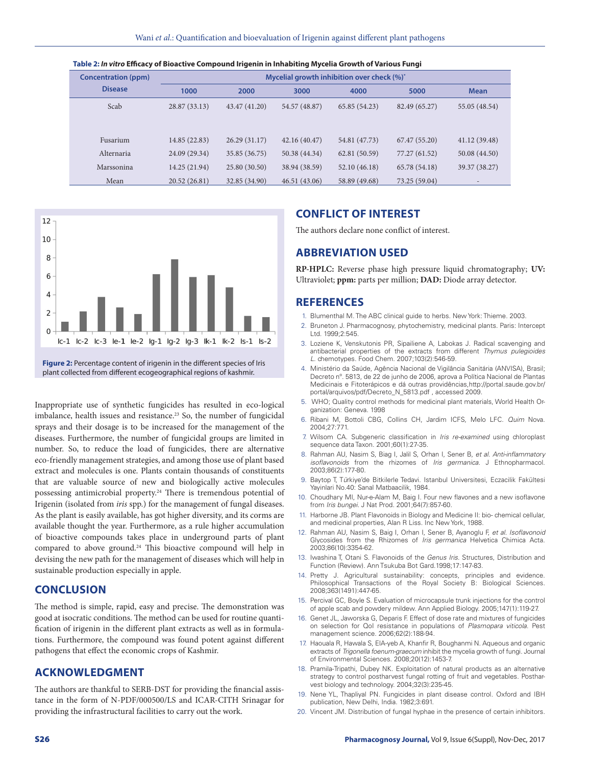| <b>Concentration (ppm)</b> | Mycelial growth inhibition over check (%)* |               |               |               |               |               |  |
|----------------------------|--------------------------------------------|---------------|---------------|---------------|---------------|---------------|--|
| <b>Disease</b>             | 1000                                       | 2000          | 3000          | 4000          | 5000          | <b>Mean</b>   |  |
| Scab                       | 28.87 (33.13)                              | 43.47 (41.20) | 54.57 (48.87) | 65.85 (54.23) | 82.49 (65.27) | 55.05 (48.54) |  |
| Fusarium                   | 14.85 (22.83)                              | 26.29(31.17)  | 42.16(40.47)  | 54.81 (47.73) | 67.47(55.20)  | 41.12(39.48)  |  |
| Alternaria                 | 24.09 (29.34)                              | 35.85 (36.75) | 50.38 (44.34) | 62.81 (50.59) | 77.27 (61.52) | 50.08 (44.50) |  |
| Marssonina                 | 14.25 (21.94)                              | 25.80 (30.50) | 38.94 (38.59) | 52.10 (46.18) | 65.78 (54.18) | 39.37 (38.27) |  |
| Mean                       | 20.52 (26.81)                              | 32.85 (34.90) | 46.51(43.06)  | 58.89 (49.68) | 73.25 (59.04) |               |  |





**Figure 2:** Percentage content of irigenin in the different species of Iris plant collected from different ecogeographical regions of kashmir.

Inappropriate use of synthetic fungicides has resulted in eco-logical imbalance, health issues and resistance.<sup>23</sup> So, the number of fungicidal sprays and their dosage is to be increased for the management of the diseases. Furthermore, the number of fungicidal groups are limited in number. So, to reduce the load of fungicides, there are alternative eco-friendly management strategies, and among those use of plant based extract and molecules is one. Plants contain thousands of constituents that are valuable source of new and biologically active molecules possessing antimicrobial property.<sup>24</sup> There is tremendous potential of Irigenin (isolated from *iris* spp.) for the management of fungal diseases. As the plant is easily available, has got higher diversity, and its corms are available thought the year. Furthermore, as a rule higher accumulation of bioactive compounds takes place in underground parts of plant compared to above ground.24 This bioactive compound will help in devising the new path for the management of diseases which will help in sustainable production especially in apple.

## **CONCLUSION**

The method is simple, rapid, easy and precise. The demonstration was good at isocratic conditions. The method can be used for routine quantification of irigenin in the different plant extracts as well as in formulations. Furthermore, the compound was found potent against different pathogens that effect the economic crops of Kashmir.

## **ACKNOWLEDGMENT**

The authors are thankful to SERB-DST for providing the financial assistance in the form of N-PDF/000500/LS and ICAR-CITH Srinagar for providing the infrastructural facilities to carry out the work.

## **CONFLICT OF INTEREST**

The authors declare none conflict of interest.

## **ABBREVIATION USED**

**RP-HPLC:** Reverse phase high pressure liquid chromatography; **UV:** Ultraviolet; **ppm:** parts per million; **DAD:** Diode array detector.

## **REFERENCES**

- 1. Blumenthal M. The ABC clinical guide to herbs. New York: Thieme. 2003.
- 2. Bruneton J. Pharmacognosy, phytochemistry, medicinal plants. Paris: Intercept Ltd. 1999;2:545.
- 3. Loziene K, Venskutonis PR, Sipailiene A, Labokas J. Radical scavenging and antibacterial properties of the extracts from different *Thymus pulegioides L*. chemotypes. Food Chem. 2007;103(2):546-59.
- 4. Ministério da Saúde, Agência Nacional de Vigilância Sanitária (ANVISA), Brasil; Decreto nº. 5813, de 22 de junho de 2006, aprova a Política Nacional de Plantas Medicinais e Fitoterápicos e dá outras providências,http://portal.saude.gov.br/ portal/arquivos/pdf/Decreto\_N\_5813.pdf , accessed 2009.
- 5. WHO; Quality control methods for medicinal plant materials, World Health Organization: Geneva. 1998
- 6. Ribani M, Bottoli CBG, Collins CH, Jardim ICFS, Melo LFC. *Quim* Nova. 2004;27:771.
- 7. Wilsom CA. Subgeneric classification in *Iris re-examined* using chloroplast sequence data Taxon. 2001;60(1):27-35.
- 8. Rahman AU, Nasim S, Biag I, Jalil S, Orhan I, Sener B, *et al*. *Anti-inflammatory isoflavonoids* from the rhizomes of *Iris germanica*. J Ethnopharmacol. 2003;86(2):177-80.
- 9. Baytop T, T*ü*rkiye'de Bitkilerle Tedavi. Istanbul Universitesi, Eczacilik Fakültesi Yayinlari No.40: Sanal Matbaacilik, 1984.
- 10. Choudhary MI, Nur-e-Alam M, Baig I. Four new flavones and a new isoflavone from *Iris bungei.* J Nat Prod. 2001;64(7):857-60.
- 11. Harborne JB. Plant Flavonoids in Biology and Medicine II: bio- chemical cellular, and medicinal properties, Alan R Liss. Inc New York, 1988.
- 12. Rahman AU, Nasim S, Baig I, Orhan I, Sener B, Ayanoglu F, *et al*. *Isoflavonoid* Glycosides from the Rhizomes of *Iris germanica* Helvetica Chimica Acta. 2003;86(10):3354-62.
- 13. Iwashina T, Otani S. Flavonoids of the *Genus Iris*. Structures, Distribution and Function (Review). Ann Tsukuba Bot Gard.1998;17:147-83.
- 14. Pretty J. Agricultural sustainability: concepts, principles and evidence. Philosophical Transactions of the Royal Society B: Biological Sciences. 2008;363(1491):447-65.
- 15. Percival GC, Boyle S. Evaluation of microcapsule trunk injections for the control of apple scab and powdery mildew. Ann Applied Biology. 2005;147(1):119-27.
- 16. Genet JL, Jaworska G, Deparis F. Effect of dose rate and mixtures of fungicides on selection for QoI resistance in populations of *Plasmopara viticola*. Pest management science. 2006;62(2):188-94.
- 17. Haouala R, Hawala S, ElA-yeb A, Khanfir R, Boughanmi N. Aqueous and organic extracts of *Trigonella foenum-graecum* inhibit the mycelia growth of fungi. Journal of Environmental Sciences. 2008;20(12):1453-7.
- 18. Pramila-Tripathi, Dubey NK. Exploitation of natural products as an alternative strategy to control postharvest fungal rotting of fruit and vegetables. Postharvest biology and technology. 2004;32(3):235-45.
- 19. Nene YL, Thapliyal PN. Fungicides in plant disease control*.* Oxford and IBH publication, New Delhi, India. 1982;3:691.
- 20. Vincent JM. Distribution of fungal hyphae in the presence of certain inhibitors.